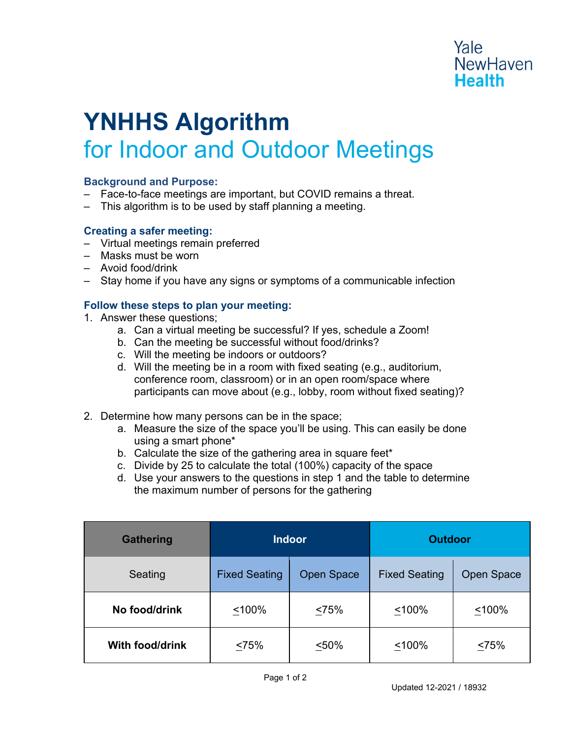# Yale **NewHaven Health**

# **YNHHS Algorithm**  for Indoor and Outdoor Meetings

# **Background and Purpose:**

- ‒ Face-to-face meetings are important, but COVID remains a threat.
- ‒ This algorithm is to be used by staff planning a meeting.

## **Creating a safer meeting:**

- ‒ Virtual meetings remain preferred
- ‒ Masks must be worn
- ‒ Avoid food/drink
- ‒ Stay home if you have any signs or symptoms of a communicable infection

# **Follow these steps to plan your meeting:**

- 1. Answer these questions;
	- a. Can a virtual meeting be successful? If yes, schedule a Zoom!
	- b. Can the meeting be successful without food/drinks?
	- c. Will the meeting be indoors or outdoors?
	- d. Will the meeting be in a room with fixed seating (e.g., auditorium, conference room, classroom) or in an open room/space where participants can move about (e.g., lobby, room without fixed seating)?
- 2. Determine how many persons can be in the space;
	- a. Measure the size of the space you'll be using. This can easily be done using a smart phone\*
	- b. Calculate the size of the gathering area in square feet\*
	- c. Divide by 25 to calculate the total (100%) capacity of the space
	- d. Use your answers to the questions in step 1 and the table to determine the maximum number of persons for the gathering

| <b>Gathering</b>       | <b>Indoor</b>        |                   | <b>Outdoor</b>       |                   |
|------------------------|----------------------|-------------------|----------------------|-------------------|
| Seating                | <b>Fixed Seating</b> | <b>Open Space</b> | <b>Fixed Seating</b> | <b>Open Space</b> |
| No food/drink          | < 100%               | <75%              | < 100%               | < 100%            |
| <b>With food/drink</b> | <75%                 | < 50%             | < 100%               | 525%              |